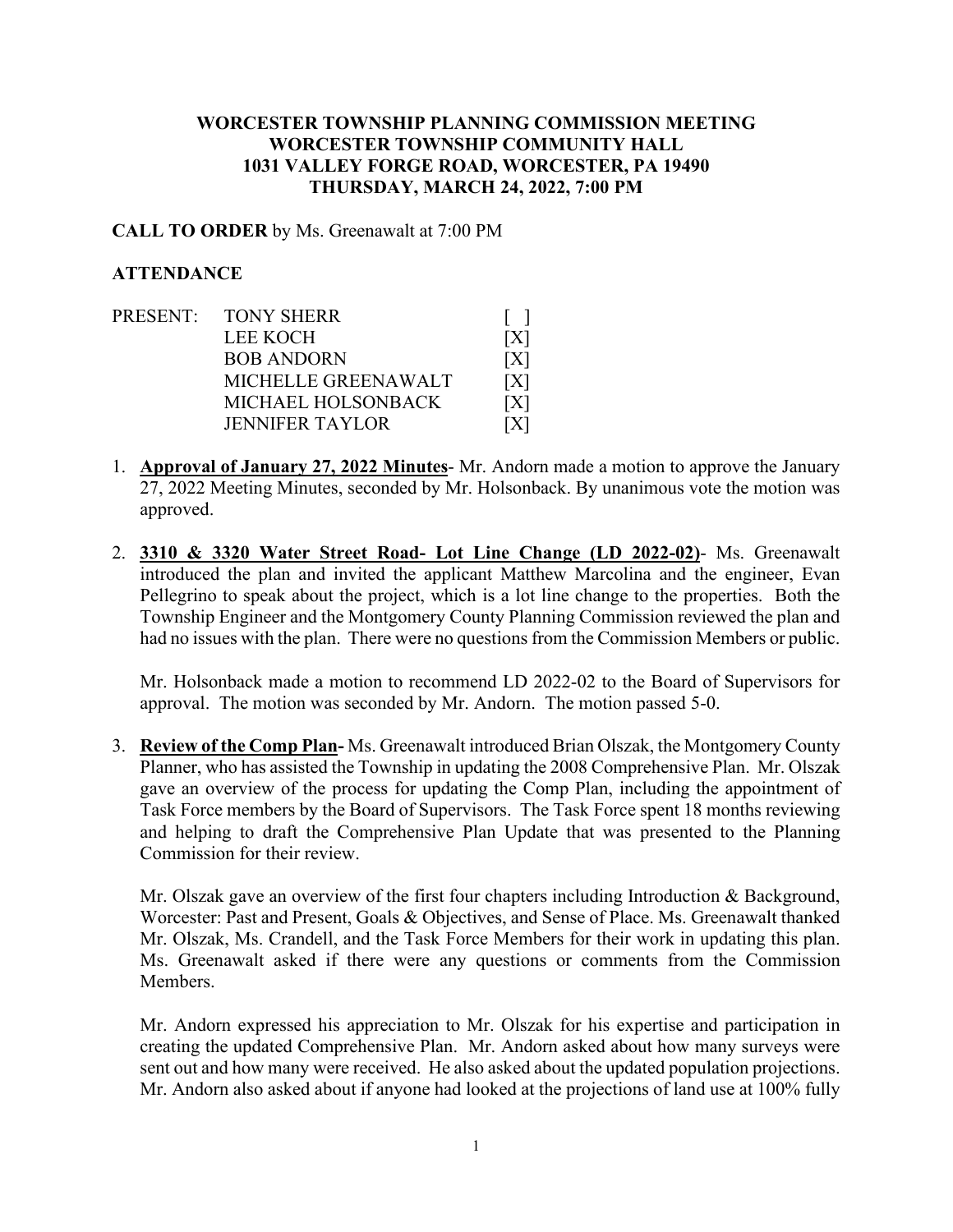## **WORCESTER TOWNSHIP PLANNING COMMISSION MEETING WORCESTER TOWNSHIP COMMUNITY HALL 1031 VALLEY FORGE ROAD, WORCESTER, PA 19490 THURSDAY, MARCH 24, 2022, 7:00 PM**

#### **CALL TO ORDER** by Ms. Greenawalt at 7:00 PM

### **ATTENDANCE**

- PRESENT: TONY SHERR [ ] LEE KOCH [X] BOB ANDORN [X] MICHELLE GREENAWALT [X] MICHAEL HOLSONBACK [X] JENNIFER TAYLOR [X]
- 1. **Approval of January 27, 2022 Minutes** Mr. Andorn made a motion to approve the January 27, 2022 Meeting Minutes, seconded by Mr. Holsonback. By unanimous vote the motion was approved.
- 2. **3310 & 3320 Water Street Road- Lot Line Change (LD 2022-02)** Ms. Greenawalt introduced the plan and invited the applicant Matthew Marcolina and the engineer, Evan Pellegrino to speak about the project, which is a lot line change to the properties. Both the Township Engineer and the Montgomery County Planning Commission reviewed the plan and had no issues with the plan. There were no questions from the Commission Members or public.

Mr. Holsonback made a motion to recommend LD 2022-02 to the Board of Supervisors for approval. The motion was seconded by Mr. Andorn. The motion passed 5-0.

3. **Review of the Comp Plan-** Ms. Greenawalt introduced Brian Olszak, the Montgomery County Planner, who has assisted the Township in updating the 2008 Comprehensive Plan. Mr. Olszak gave an overview of the process for updating the Comp Plan, including the appointment of Task Force members by the Board of Supervisors. The Task Force spent 18 months reviewing and helping to draft the Comprehensive Plan Update that was presented to the Planning Commission for their review.

Mr. Olszak gave an overview of the first four chapters including Introduction & Background, Worcester: Past and Present, Goals & Objectives, and Sense of Place. Ms. Greenawalt thanked Mr. Olszak, Ms. Crandell, and the Task Force Members for their work in updating this plan. Ms. Greenawalt asked if there were any questions or comments from the Commission Members.

Mr. Andorn expressed his appreciation to Mr. Olszak for his expertise and participation in creating the updated Comprehensive Plan. Mr. Andorn asked about how many surveys were sent out and how many were received. He also asked about the updated population projections. Mr. Andorn also asked about if anyone had looked at the projections of land use at 100% fully